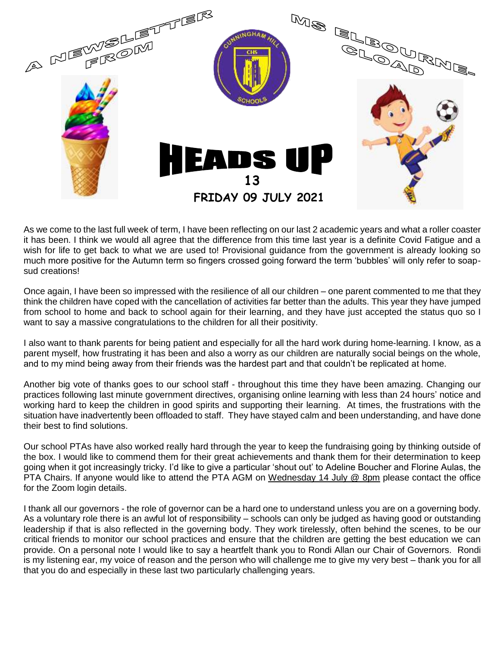

As we come to the last full week of term, I have been reflecting on our last 2 academic years and what a roller coaster it has been. I think we would all agree that the difference from this time last year is a definite Covid Fatigue and a wish for life to get back to what we are used to! Provisional guidance from the government is already looking so much more positive for the Autumn term so fingers crossed going forward the term 'bubbles' will only refer to soapsud creations!

Once again, I have been so impressed with the resilience of all our children – one parent commented to me that they think the children have coped with the cancellation of activities far better than the adults. This year they have jumped from school to home and back to school again for their learning, and they have just accepted the status quo so I want to say a massive congratulations to the children for all their positivity.

I also want to thank parents for being patient and especially for all the hard work during home-learning. I know, as a parent myself, how frustrating it has been and also a worry as our children are naturally social beings on the whole, and to my mind being away from their friends was the hardest part and that couldn't be replicated at home.

Another big vote of thanks goes to our school staff - throughout this time they have been amazing. Changing our practices following last minute government directives, organising online learning with less than 24 hours' notice and working hard to keep the children in good spirits and supporting their learning. At times, the frustrations with the situation have inadvertently been offloaded to staff. They have stayed calm and been understanding, and have done their best to find solutions.

Our school PTAs have also worked really hard through the year to keep the fundraising going by thinking outside of the box. I would like to commend them for their great achievements and thank them for their determination to keep going when it got increasingly tricky. I'd like to give a particular 'shout out' to Adeline Boucher and Florine Aulas, the PTA Chairs. If anyone would like to attend the PTA AGM on Wednesday 14 July @ 8pm please contact the office for the Zoom login details.

I thank all our governors - the role of governor can be a hard one to understand unless you are on a governing body. As a voluntary role there is an awful lot of responsibility – schools can only be judged as having good or outstanding leadership if that is also reflected in the governing body. They work tirelessly, often behind the scenes, to be our critical friends to monitor our school practices and ensure that the children are getting the best education we can provide. On a personal note I would like to say a heartfelt thank you to Rondi Allan our Chair of Governors. Rondi is my listening ear, my voice of reason and the person who will challenge me to give my very best – thank you for all that you do and especially in these last two particularly challenging years.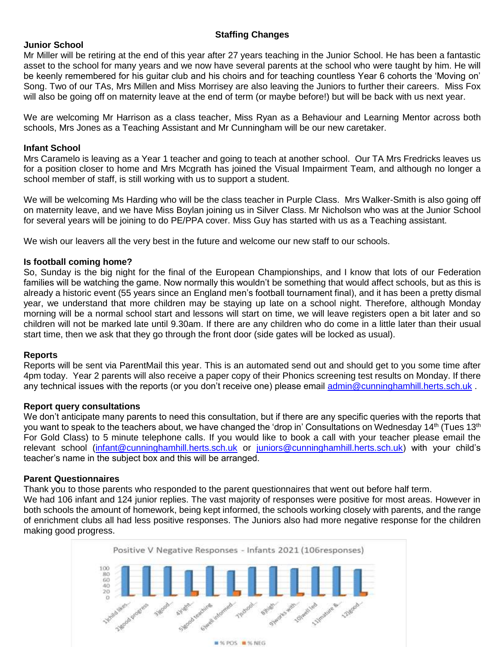# **Staffing Changes**

## **Junior School**

Mr Miller will be retiring at the end of this year after 27 years teaching in the Junior School. He has been a fantastic asset to the school for many years and we now have several parents at the school who were taught by him. He will be keenly remembered for his guitar club and his choirs and for teaching countless Year 6 cohorts the 'Moving on' Song. Two of our TAs, Mrs Millen and Miss Morrisey are also leaving the Juniors to further their careers. Miss Fox will also be going off on maternity leave at the end of term (or maybe before!) but will be back with us next year.

We are welcoming Mr Harrison as a class teacher, Miss Ryan as a Behaviour and Learning Mentor across both schools, Mrs Jones as a Teaching Assistant and Mr Cunningham will be our new caretaker.

### **Infant School**

Mrs Caramelo is leaving as a Year 1 teacher and going to teach at another school. Our TA Mrs Fredricks leaves us for a position closer to home and Mrs Mcgrath has joined the Visual Impairment Team, and although no longer a school member of staff, is still working with us to support a student.

We will be welcoming Ms Harding who will be the class teacher in Purple Class. Mrs Walker-Smith is also going off on maternity leave, and we have Miss Boylan joining us in Silver Class. Mr Nicholson who was at the Junior School for several years will be joining to do PE/PPA cover. Miss Guy has started with us as a Teaching assistant.

We wish our leavers all the very best in the future and welcome our new staff to our schools.

### **Is football coming home?**

So, Sunday is the big night for the final of the European Championships, and I know that lots of our Federation families will be watching the game. Now normally this wouldn't be something that would affect schools, but as this is already a historic event (55 years since an England men's football tournament final), and it has been a pretty dismal year, we understand that more children may be staying up late on a school night. Therefore, although Monday morning will be a normal school start and lessons will start on time, we will leave registers open a bit later and so children will not be marked late until 9.30am. If there are any children who do come in a little later than their usual start time, then we ask that they go through the front door (side gates will be locked as usual).

#### **Reports**

Reports will be sent via ParentMail this year. This is an automated send out and should get to you some time after 4pm today. Year 2 parents will also receive a paper copy of their Phonics screening test results on Monday. If there any technical issues with the reports (or you don't receive one) please email [admin@cunninghamhill.herts.sch.uk](mailto:admin@cunninghamhill.herts.sch.uk) .

#### **Report query consultations**

We don't anticipate many parents to need this consultation, but if there are any specific queries with the reports that you want to speak to the teachers about, we have changed the 'drop in' Consultations on Wednesday 14<sup>th</sup> (Tues 13<sup>th</sup>) For Gold Class) to 5 minute telephone calls. If you would like to book a call with your teacher please email the relevant school [\(infant@cunninghamhill.herts.sch.uk](mailto:infant@cunninghamhill.herts.sch.uk) or [juniors@cunninghamhill.herts.sch.uk\)](mailto:juniors@cunninghamhill.herts.sch.uk) with your child's teacher's name in the subject box and this will be arranged.

#### **Parent Questionnaires**

Thank you to those parents who responded to the parent questionnaires that went out before half term. We had 106 infant and 124 junior replies. The vast majority of responses were positive for most areas. However in both schools the amount of homework, being kept informed, the schools working closely with parents, and the range of enrichment clubs all had less positive responses. The Juniors also had more negative response for the children making good progress.